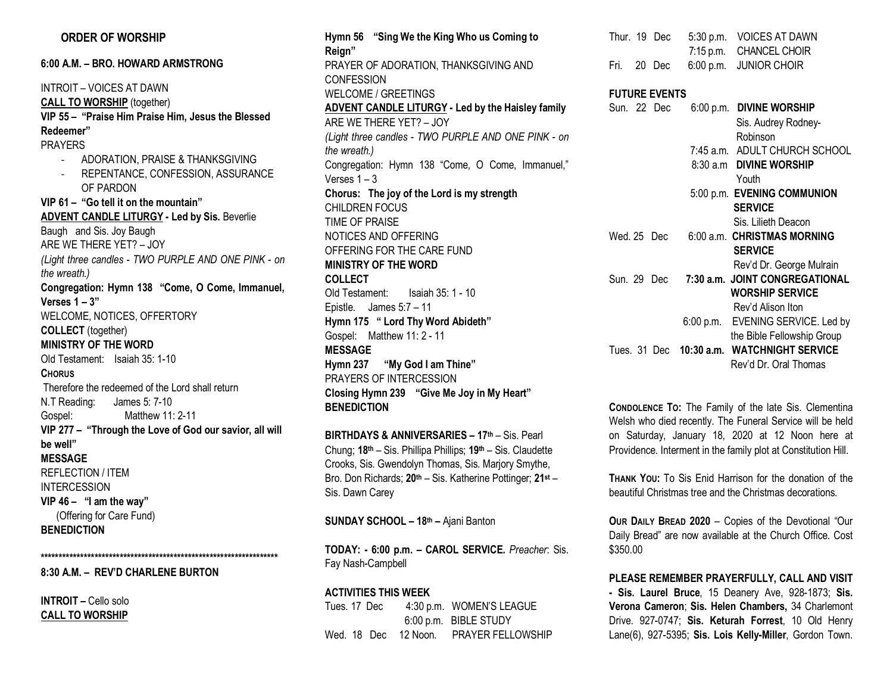### **ORDER OF WORSHIP**

**6:00 A.M. – BRO. HOWARD ARMSTRONG**

INTROIT – VOICES AT DAWN **CALL TO WORSHIP** (together) **VIP 55 – "Praise Him Praise Him, Jesus the Blessed Redeemer"** PRAYERS - ADORATION, PRAISE & THANKSGIVING - REPENTANCE, CONFESSION, ASSURANCE OF PARDON **VIP 61 – "Go tell it on the mountain" ADVENT CANDLE LITURGY - Led by Sis.** Beverlie Baugh and Sis. Joy Baugh ARE WE THERE YET? – JOY *(Light three candles - TWO PURPLE AND ONE PINK - on the wreath.)* **Congregation: Hymn 138 "Come, O Come, Immanuel, Verses 1 – 3"** WELCOME, NOTICES, OFFERTORY **COLLECT** (together) **MINISTRY OF THE WORD** Old Testament: Isaiah 35: 1-10 **CHORUS** Therefore the redeemed of the Lord shall return N.T Reading: James 5: 7-10 Gospel: Matthew 11: 2-11 **VIP 277 – "Through the Love of God our savior, all will be well" MESSAGE** REFLECTION / ITEM INTERCESSION **VIP 46 – "I am the way"** (Offering for Care Fund) **BENEDICTION**

**8:30 A.M. – REV'D CHARLENE BURTON**

**\*\*\*\*\*\*\*\*\*\*\*\*\*\*\*\*\*\*\*\*\*\*\*\*\*\*\*\*\*\*\*\*\*\*\*\*\*\*\*\*\*\*\*\*\*\*\*\*\*\*\*\*\*\*\*\*\*\*\*\*\*\*\*\*\*\***

**INTROIT –** Cello solo **CALL TO WORSHIP**  **Hymn 56 "Sing We the King Who us Coming to Reign"** PRAYER OF ADORATION, THANKSGIVING AND **CONFESSION** WELCOME / GREETINGS **ADVENT CANDLE LITURGY - Led by the Haisley family** ARE WE THERE YET? – JOY *(Light three candles - TWO PURPLE AND ONE PINK - on the wreath.)* Congregation: Hymn 138 "Come, O Come, Immanuel," Verses 1 – 3 **Chorus: The joy of the Lord is my strength**  CHILDREN FOCUS TIME OF PRAISE NOTICES AND OFFERING OFFERING FOR THE CARE FUND **MINISTRY OF THE WORD COLLECT** Old Testament: Isaiah 35: 1 - 10 Epistle. James 5:7 – 11 **Hymn 175 " Lord Thy Word Abideth"** Gospel: Matthew 11: 2 - 11 **MESSAGE Hymn 237 "My God I am Thine"** PRAYERS OF INTERCESSION **Closing Hymn 239 "Give Me Joy in My Heart" BENEDICTION** 

**BIRTHDAYS & ANNIVERSARIES – 17th** – Sis. Pearl Chung; **18th** – Sis. Phillipa Phillips; **19th** – Sis. Claudette Crooks, Sis. Gwendolyn Thomas, Sis. Marjory Smythe, Bro. Don Richards; **20th** – Sis. Katherine Pottinger; **21st** – Sis. Dawn Carey

**SUNDAY SCHOOL – 18th –** Ajani Banton

**TODAY: - 6:00 p.m. – CAROL SERVICE.** *Preacher*: Sis. Fay Nash-Campbell

**ACTIVITIES THIS WEEK** Tues. 17 Dec 4:30 p.m. WOMEN'S LEAGUE 6:00 p.m. BIBLE STUDY Wed. 18 Dec 12 Noon. PRAYER FELLOWSHIP

| Thur. 19 Dec |  | 5:30 p.m. VOICES AT DAWN |
|--------------|--|--------------------------|
|              |  | 7:15 p.m. CHANCEL CHOIR  |
| Fri. 20 Dec  |  | 6:00 p.m. JUNIOR CHOIR   |
|              |  |                          |

#### **FUTURE EVENTS**

| Sun. 22 Dec |  | 6:00 p.m. DIVINE WORSHIP                   |
|-------------|--|--------------------------------------------|
|             |  | Sis. Audrey Rodney-                        |
|             |  | Robinson                                   |
|             |  | 7:45 a.m. ADULT CHURCH SCHOOL              |
|             |  | 8:30 a.m DIVINE WORSHIP                    |
|             |  | Youth                                      |
|             |  | 5:00 p.m. EVENING COMMUNION                |
|             |  | <b>SERVICE</b>                             |
|             |  | Sis. Lilieth Deacon                        |
| Wed. 25 Dec |  | 6:00 a.m. CHRISTMAS MORNING                |
|             |  | <b>SERVICE</b>                             |
|             |  | Rev'd Dr. George Mulrain                   |
| Sun. 29 Dec |  | 7:30 a.m. JOINT CONGREGATIONAL             |
|             |  | <b>WORSHIP SERVICE</b>                     |
|             |  | Rev'd Alison Iton                          |
|             |  | 6:00 p.m. EVENING SERVICE. Led by          |
|             |  | the Bible Fellowship Group                 |
|             |  | Tues. 31 Dec 10:30 a.m. WATCHNIGHT SERVICE |
|             |  | Rev'd Dr. Oral Thomas                      |
|             |  |                                            |

**CONDOLENCE TO:** The Family of the late Sis. Clementina Welsh who died recently. The Funeral Service will be held on Saturday, January 18, 2020 at 12 Noon here at Providence. Interment in the family plot at Constitution Hill.

**THANK YOU:** To Sis Enid Harrison for the donation of the beautiful Christmas tree and the Christmas decorations.

**OUR DAILY BREAD 2020** – Copies of the Devotional "Our Daily Bread" are now available at the Church Office. Cost \$350.00

**PLEASE REMEMBER PRAYERFULLY, CALL AND VISIT - Sis. Laurel Bruce**, 15 Deanery Ave, 928-1873; **Sis. Verona Cameron**; **Sis. Helen Chambers,** 34 Charlemont Drive. 927-0747; **Sis. Keturah Forrest**, 10 Old Henry Lane(6), 927-5395; **Sis. Lois Kelly-Miller**, Gordon Town.